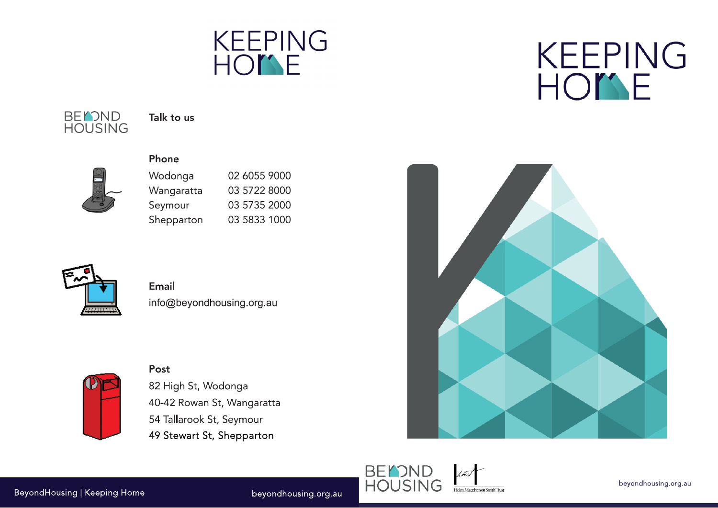





Talk to us

#### Phone

Post

| Wodonga    | 02 6055 9000 |
|------------|--------------|
| Wangaratta | 03 5722 8000 |
| Seymour    | 03 5735 2000 |
| Shepparton | 03 5833 1000 |



### Email info@beyondhousing.org.au



# 82 High St, Wodonga 40-42 Rowan St, Wangaratta 54 Tallarook St, Seymour 49 Stewart St, Shepparton